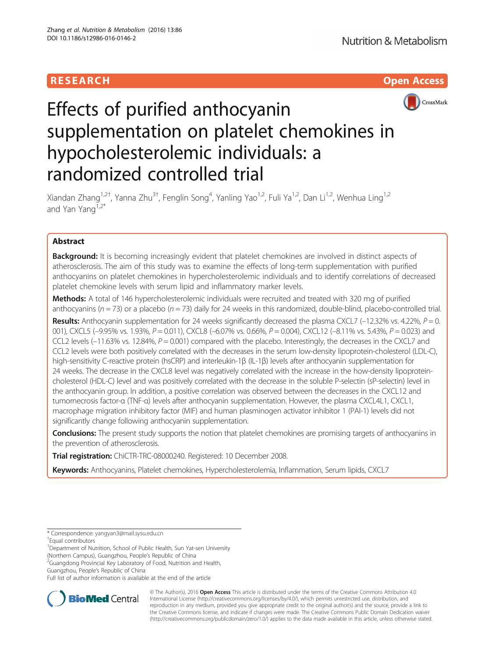# **RESEARCH CHILD CONTROL** CONTROL CONTROL CONTROL CONTROL CONTROL CONTROL CONTROL CONTROL CONTROL CONTROL CONTROL



# Effects of purified anthocyanin supplementation on platelet chemokines in hypocholesterolemic individuals: a randomized controlled trial

Xiandan Zhang<sup>1,2†</sup>, Yanna Zhu<sup>3†</sup>, Fenglin Song<sup>4</sup>, Yanling Yao<sup>1,2</sup>, Fuli Ya<sup>1,2</sup>, Dan Li<sup>1,2</sup>, Wenhua Ling<sup>1,2</sup> and Yan Yang<sup>1,2\*</sup>

# Abstract

**Background:** It is becoming increasingly evident that platelet chemokines are involved in distinct aspects of atherosclerosis. The aim of this study was to examine the effects of long-term supplementation with purified anthocyanins on platelet chemokines in hypercholesterolemic individuals and to identify correlations of decreased platelet chemokine levels with serum lipid and inflammatory marker levels.

Methods: A total of 146 hypercholesterolemic individuals were recruited and treated with 320 mg of purified anthocyanins ( $n = 73$ ) or a placebo ( $n = 73$ ) daily for 24 weeks in this randomized, double-blind, placebo-controlled trial.

Results: Anthocyanin supplementation for 24 weeks significantly decreased the plasma CXCL7 (-12.32% vs. 4.22%,  $P = 0$ . 001), CXCL5 (-9.95% vs. 1.93%, P = 0.011), CXCL8 (-6.07% vs. 0.66%, P = 0.004), CXCL12 (-8.11% vs. 5.43%, P = 0.023) and CCL2 levels  $(-11.63\%$  vs. 12.84%,  $P = 0.001$ ) compared with the placebo. Interestingly, the decreases in the CXCL7 and CCL2 levels were both positively correlated with the decreases in the serum low-density lipoprotein-cholesterol (LDL-C), high-sensitivity C-reactive protein (hsCRP) and interleukin-1β (IL-1β) levels after anthocyanin supplementation for 24 weeks. The decrease in the CXCL8 level was negatively correlated with the increase in the how-density lipoproteincholesterol (HDL-C) level and was positively correlated with the decrease in the soluble P-selectin (sP-selectin) level in the anthocyanin group. In addition, a positive correlation was observed between the decreases in the CXCL12 and tumornecrosis factor-α (TNF-α) levels after anthocyanin supplementation. However, the plasma CXCL4L1, CXCL1, macrophage migration inhibitory factor (MIF) and human plasminogen activator inhibitor 1 (PAI-1) levels did not significantly change following anthocyanin supplementation.

**Conclusions:** The present study supports the notion that platelet chemokines are promising targets of anthocyanins in the prevention of atherosclerosis.

Trial registration: [ChiCTR-TRC-08000240](http://www.chictr.org.cn/showproj.aspx?proj=9287). Registered: 10 December 2008.

Keywords: Anthocyanins, Platelet chemokines, Hypercholesterolemia, Inflammation, Serum lipids, CXCL7

<sup>1</sup> Department of Nutrition, School of Public Health, Sun Yat-sen University

(Northern Campus), Guangzhou, People's Republic of China <sup>2</sup> <sup>2</sup>Guangdong Provincial Key Laboratory of Food, Nutrition and Health,

Guangzhou, People's Republic of China

Full list of author information is available at the end of the article



© The Author(s). 2016 Open Access This article is distributed under the terms of the Creative Commons Attribution 4.0 International License [\(http://creativecommons.org/licenses/by/4.0/](http://creativecommons.org/licenses/by/4.0/)), which permits unrestricted use, distribution, and reproduction in any medium, provided you give appropriate credit to the original author(s) and the source, provide a link to the Creative Commons license, and indicate if changes were made. The Creative Commons Public Domain Dedication waiver [\(http://creativecommons.org/publicdomain/zero/1.0/](http://creativecommons.org/publicdomain/zero/1.0/)) applies to the data made available in this article, unless otherwise stated.

<sup>\*</sup> Correspondence: [yangyan3@mail.sysu.edu.cn](mailto:yangyan3@mail.sysu.edu.cn) †

Equal contributors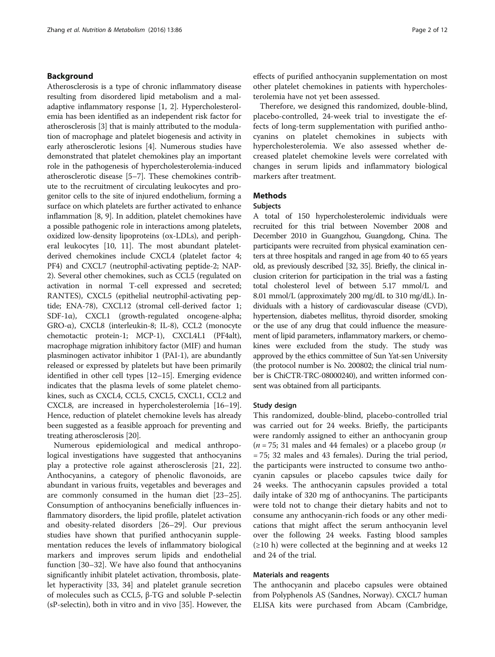# Background

Atherosclerosis is a type of chronic inflammatory disease resulting from disordered lipid metabolism and a maladaptive inflammatory response [[1, 2\]](#page-9-0). Hypercholesterolemia has been identified as an independent risk factor for atherosclerosis [\[3](#page-9-0)] that is mainly attributed to the modulation of macrophage and platelet biogenesis and activity in early atherosclerotic lesions [\[4](#page-9-0)]. Numerous studies have demonstrated that platelet chemokines play an important role in the pathogenesis of hypercholesterolemia-induced atherosclerotic disease [\[5](#page-9-0)–[7\]](#page-9-0). These chemokines contribute to the recruitment of circulating leukocytes and progenitor cells to the site of injured endothelium, forming a surface on which platelets are further activated to enhance inflammation [[8](#page-9-0), [9](#page-9-0)]. In addition, platelet chemokines have a possible pathogenic role in interactions among platelets, oxidized low-density lipoproteins (ox-LDLs), and peripheral leukocytes [\[10, 11](#page-9-0)]. The most abundant plateletderived chemokines include CXCL4 (platelet factor 4; PF4) and CXCL7 (neutrophil-activating peptide-2; NAP-2). Several other chemokines, such as CCL5 (regulated on activation in normal T-cell expressed and secreted; RANTES), CXCL5 (epithelial neutrophil-activating peptide; ENA-78), CXCL12 (stromal cell-derived factor 1; SDF-1α), CXCL1 (growth-regulated oncogene-alpha; GRO-α), CXCL8 (interleukin-8; IL-8), CCL2 (monocyte chemotactic protein-1; MCP-1), CXCL4L1 (PF4alt), macrophage migration inhibitory factor (MIF) and human plasminogen activator inhibitor 1 (PAI-1), are abundantly released or expressed by platelets but have been primarily identified in other cell types [\[12](#page-9-0)–[15\]](#page-9-0). Emerging evidence indicates that the plasma levels of some platelet chemokines, such as CXCL4, CCL5, CXCL5, CXCL1, CCL2 and CXCL8, are increased in hypercholesterolemia [\[16](#page-9-0)–[19](#page-9-0)]. Hence, reduction of platelet chemokine levels has already been suggested as a feasible approach for preventing and treating atherosclerosis [[20](#page-9-0)].

Numerous epidemiological and medical anthropological investigations have suggested that anthocyanins play a protective role against atherosclerosis [\[21, 22](#page-10-0)]. Anthocyanins, a category of phenolic flavonoids, are abundant in various fruits, vegetables and beverages and are commonly consumed in the human diet [[23](#page-10-0)–[25](#page-10-0)]. Consumption of anthocyanins beneficially influences inflammatory disorders, the lipid profile, platelet activation and obesity-related disorders [[26](#page-10-0)–[29](#page-10-0)]. Our previous studies have shown that purified anthocyanin supplementation reduces the levels of inflammatory biological markers and improves serum lipids and endothelial function [\[30](#page-10-0)–[32\]](#page-10-0). We have also found that anthocyanins significantly inhibit platelet activation, thrombosis, platelet hyperactivity [\[33, 34](#page-10-0)] and platelet granule secretion of molecules such as CCL5, β-TG and soluble P-selectin (sP-selectin), both in vitro and in vivo [\[35](#page-10-0)]. However, the effects of purified anthocyanin supplementation on most other platelet chemokines in patients with hypercholesterolemia have not yet been assessed.

Therefore, we designed this randomized, double-blind, placebo-controlled, 24-week trial to investigate the effects of long-term supplementation with purified anthocyanins on platelet chemokines in subjects with hypercholesterolemia. We also assessed whether decreased platelet chemokine levels were correlated with changes in serum lipids and inflammatory biological markers after treatment.

# Methods

## **Subjects**

A total of 150 hypercholesterolemic individuals were recruited for this trial between November 2008 and December 2010 in Guangzhou, Guangdong, China. The participants were recruited from physical examination centers at three hospitals and ranged in age from 40 to 65 years old, as previously described [\[32, 35](#page-10-0)]. Briefly, the clinical inclusion criterion for participation in the trial was a fasting total cholesterol level of between 5.17 mmol/L and 8.01 mmol/L (approximately 200 mg/dL to 310 mg/dL). Individuals with a history of cardiovascular disease (CVD), hypertension, diabetes mellitus, thyroid disorder, smoking or the use of any drug that could influence the measurement of lipid parameters, inflammatory markers, or chemokines were excluded from the study. The study was approved by the ethics committee of Sun Yat-sen University (the protocol number is No. 200802; the clinical trial number is ChiCTR-TRC-08000240), and written informed consent was obtained from all participants.

## Study design

This randomized, double-blind, placebo-controlled trial was carried out for 24 weeks. Briefly, the participants were randomly assigned to either an anthocyanin group  $(n = 75; 31 \text{ males and } 44 \text{ females})$  or a placebo group  $(n = 75; 11)$ = 75; 32 males and 43 females). During the trial period, the participants were instructed to consume two anthocyanin capsules or placebo capsules twice daily for 24 weeks. The anthocyanin capsules provided a total daily intake of 320 mg of anthocyanins. The participants were told not to change their dietary habits and not to consume any anthocyanin-rich foods or any other medications that might affect the serum anthocyanin level over the following 24 weeks. Fasting blood samples  $(\geq 10 \text{ h})$  were collected at the beginning and at weeks 12 and 24 of the trial.

# Materials and reagents

The anthocyanin and placebo capsules were obtained from Polyphenols AS (Sandnes, Norway). CXCL7 human ELISA kits were purchased from Abcam (Cambridge,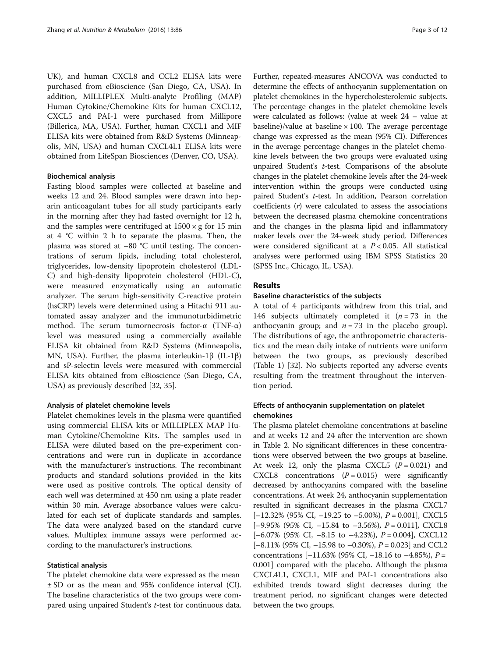UK), and human CXCL8 and CCL2 ELISA kits were purchased from eBioscience (San Diego, CA, USA). In addition, MILLIPLEX Multi-analyte Profiling (MAP) Human Cytokine/Chemokine Kits for human CXCL12, CXCL5 and PAI-1 were purchased from Millipore (Billerica, MA, USA). Further, human CXCL1 and MIF ELISA kits were obtained from R&D Systems (Minneapolis, MN, USA) and human CXCL4L1 ELISA kits were obtained from LifeSpan Biosciences (Denver, CO, USA).

## Biochemical analysis

Fasting blood samples were collected at baseline and weeks 12 and 24. Blood samples were drawn into heparin anticoagulant tubes for all study participants early in the morning after they had fasted overnight for 12 h, and the samples were centrifuged at  $1500 \times g$  for 15 min at 4 °C within 2 h to separate the plasma. Then, the plasma was stored at –80 °C until testing. The concentrations of serum lipids, including total cholesterol, triglycerides, low-density lipoprotein cholesterol (LDL-C) and high-density lipoprotein cholesterol (HDL-C), were measured enzymatically using an automatic analyzer. The serum high-sensitivity C-reactive protein (hsCRP) levels were determined using a Hitachi 911 automated assay analyzer and the immunoturbidimetric method. The serum tumornecrosis factor- $\alpha$  (TNF- $\alpha$ ) level was measured using a commercially available ELISA kit obtained from R&D Systems (Minneapolis, MN, USA). Further, the plasma interleukin-1β (IL-1β) and sP-selectin levels were measured with commercial ELISA kits obtained from eBioscience (San Diego, CA, USA) as previously described [[32](#page-10-0), [35](#page-10-0)].

## Analysis of platelet chemokine levels

Platelet chemokines levels in the plasma were quantified using commercial ELISA kits or MILLIPLEX MAP Human Cytokine/Chemokine Kits. The samples used in ELISA were diluted based on the pre-experiment concentrations and were run in duplicate in accordance with the manufacturer's instructions. The recombinant products and standard solutions provided in the kits were used as positive controls. The optical density of each well was determined at 450 nm using a plate reader within 30 min. Average absorbance values were calculated for each set of duplicate standards and samples. The data were analyzed based on the standard curve values. Multiplex immune assays were performed according to the manufacturer's instructions.

## Statistical analysis

The platelet chemokine data were expressed as the mean ± SD or as the mean and 95% confidence interval (CI). The baseline characteristics of the two groups were compared using unpaired Student's t-test for continuous data.

Further, repeated-measures ANCOVA was conducted to determine the effects of anthocyanin supplementation on platelet chemokines in the hypercholesterolemic subjects. The percentage changes in the platelet chemokine levels were calculated as follows: (value at week 24 – value at baseline)/value at baseline  $\times$  100. The average percentage change was expressed as the mean (95% CI). Differences in the average percentage changes in the platelet chemokine levels between the two groups were evaluated using unpaired Student's t-test. Comparisons of the absolute changes in the platelet chemokine levels after the 24-week intervention within the groups were conducted using paired Student's t-test. In addition, Pearson correlation coefficients (r) were calculated to assess the associations between the decreased plasma chemokine concentrations and the changes in the plasma lipid and inflammatory maker levels over the 24-week study period. Differences were considered significant at a  $P < 0.05$ . All statistical analyses were performed using IBM SPSS Statistics 20 (SPSS Inc., Chicago, IL, USA).

# Results

## Baseline characteristics of the subjects

A total of 4 participants withdrew from this trial, and 146 subjects ultimately completed it  $(n = 73$  in the anthocyanin group; and  $n = 73$  in the placebo group). The distributions of age, the anthropometric characteristics and the mean daily intake of nutrients were uniform between the two groups, as previously described (Table [1\)](#page-3-0) [\[32](#page-10-0)]. No subjects reported any adverse events resulting from the treatment throughout the intervention period.

# Effects of anthocyanin supplementation on platelet chemokines

The plasma platelet chemokine concentrations at baseline and at weeks 12 and 24 after the intervention are shown in Table [2](#page-4-0). No significant differences in these concentrations were observed between the two groups at baseline. At week 12, only the plasma CXCL5  $(P = 0.021)$  and CXCL8 concentrations  $(P = 0.015)$  were significantly decreased by anthocyanins compared with the baseline concentrations. At week 24, anthocyanin supplementation resulted in significant decreases in the plasma CXCL7  $[-12.32\% (95\% CI, -19.25 to -5.00\%), P = 0.001], CXCL5$  $[-9.95\% \ (95\% \ CI, -15.84 \ to \ -3.56\%), P = 0.011], CXCL8$  $[-6.07\% \ (95\% \ CI, -8.15 \ to -4.23\%), P = 0.004], CXCL12$  $[-8.11\% (95\% CI, -15.98 to -0.30\%), P = 0.023]$  and CCL2 concentrations  $[-11.63\% (95\% CI, -18.16 \text{ to } -4.85\%), P =$ 0.001] compared with the placebo. Although the plasma CXCL4L1, CXCL1, MIF and PAI-1 concentrations also exhibited trends toward slight decreases during the treatment period, no significant changes were detected between the two groups.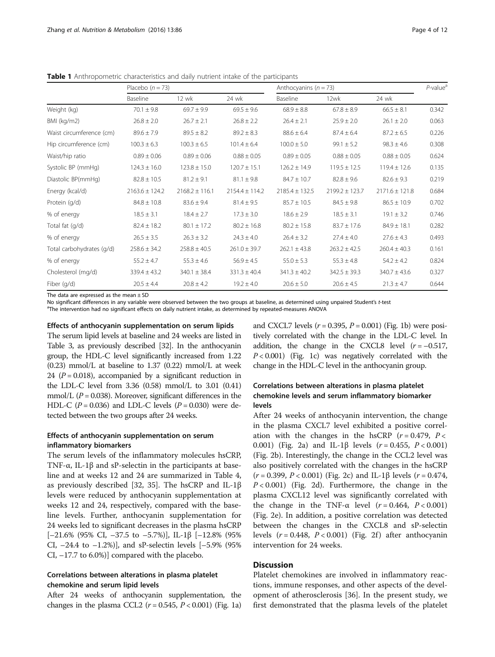|                           | Placebo $(n = 73)$ |                    |                    | Anthocyanins ( $n = 73$ ) | $P$ -value <sup><math>\ddot{}</math></sup> |                    |       |
|---------------------------|--------------------|--------------------|--------------------|---------------------------|--------------------------------------------|--------------------|-------|
|                           | Baseline           | 12 wk              | 24 wk              | Baseline                  | 12wk                                       | 24 wk              |       |
| Weight (kg)               | $70.1 \pm 9.8$     | $69.7 \pm 9.9$     | $69.5 \pm 9.6$     | $68.9 \pm 8.8$            | $67.8 \pm 8.9$                             | $66.5 \pm 8.1$     | 0.342 |
| BMI (kg/m2)               | $26.8 \pm 2.0$     | $26.7 \pm 2.1$     | $26.8 \pm 2.2$     | $26.4 \pm 2.1$            | $25.9 \pm 2.0$                             | $26.1 \pm 2.0$     | 0.063 |
| Waist circumference (cm)  | $89.6 \pm 7.9$     | $89.5 \pm 8.2$     | $89.2 \pm 8.3$     | $88.6 \pm 6.4$            | $87.4 \pm 6.4$                             | $87.2 \pm 6.5$     | 0.226 |
| Hip circumference (cm)    | $100.3 \pm 6.3$    | $100.3 \pm 6.5$    | $101.4 \pm 6.4$    | $100.0 \pm 5.0$           | $99.1 \pm 5.2$                             | $98.3 \pm 4.6$     | 0.308 |
| Waist/hip ratio           | $0.89 \pm 0.06$    | $0.89 \pm 0.06$    | $0.88 \pm 0.05$    | $0.89 \pm 0.05$           | $0.88 \pm 0.05$                            | $0.88 \pm 0.05$    | 0.624 |
| Systolic BP (mmHg)        | $124.3 \pm 16.0$   | $123.8 \pm 15.0$   | $120.7 \pm 15.1$   | $126.2 \pm 14.9$          | $119.5 \pm 12.5$                           | $119.4 \pm 12.6$   | 0.135 |
| Diastolic BP(mmHg)        | $82.8 \pm 10.5$    | $81.2 \pm 9.1$     | $81.1 \pm 9.8$     | $84.7 \pm 10.7$           | $82.8 \pm 9.6$                             | $82.6 \pm 9.3$     | 0.219 |
| Energy (kcal/d)           | $2163.6 \pm 124.2$ | $2168.2 \pm 116.1$ | $2154.4 \pm 114.2$ | $2185.4 \pm 132.5$        | $2199.2 \pm 123.7$                         | $2171.6 \pm 121.8$ | 0.684 |
| Protein (g/d)             | $84.8 \pm 10.8$    | $83.6 \pm 9.4$     | $81.4 \pm 9.5$     | $85.7 \pm 10.5$           | $84.5 \pm 9.8$                             | $86.5 \pm 10.9$    | 0.702 |
| % of energy               | $18.5 \pm 3.1$     | $18.4 \pm 2.7$     | $17.3 \pm 3.0$     | $18.6 \pm 2.9$            | $18.5 \pm 3.1$                             | $19.1 \pm 3.2$     | 0.746 |
| Total fat (q/d)           | $82.4 \pm 18.2$    | $80.1 \pm 17.2$    | $80.2 \pm 16.8$    | $80.2 \pm 15.8$           | $83.7 \pm 17.6$                            | $84.9 \pm 18.1$    | 0.282 |
| % of energy               | $26.5 \pm 3.5$     | $26.3 \pm 3.2$     | $24.3 \pm 4.0$     | $26.4 \pm 3.2$            | $27.4 \pm 4.0$                             | $27.6 \pm 4.3$     | 0.493 |
| Total carbohydrates (g/d) | $258.6 \pm 34.2$   | $258.8 \pm 40.5$   | $261.0 \pm 39.7$   | $262.1 \pm 43.8$          | $263.2 \pm 42.5$                           | $260.4 \pm 40.3$   | 0.161 |
| % of energy               | $55.2 \pm 4.7$     | $55.3 \pm 4.6$     | $56.9 \pm 4.5$     | $55.0 \pm 5.3$            | $55.3 \pm 4.8$                             | $54.2 \pm 4.2$     | 0.824 |
| Cholesterol (mg/d)        | $339.4 \pm 43.2$   | $340.1 \pm 38.4$   | $331.3 \pm 40.4$   | $341.3 \pm 40.2$          | $342.5 \pm 39.3$                           | $340.7 \pm 43.6$   | 0.327 |
| Fiber (g/d)               | $20.5 \pm 4.4$     | $20.8 \pm 4.2$     | $19.2 \pm 4.0$     | $20.6 \pm 5.0$            | $20.6 \pm 4.5$                             | $21.3 \pm 4.7$     | 0.644 |

<span id="page-3-0"></span>Table 1 Anthropometric characteristics and daily nutrient intake of the participants

No significant differences in any variable were observed between the two groups at baseline, as determined using unpaired Student's t-test

<sup>a</sup>The intervention had no significant effects on daily nutrient intake, as determined by repeated-measures ANOVA

## Effects of anthocyanin supplementation on serum lipids

The serum lipid levels at baseline and 24 weeks are listed in Table [3,](#page-5-0) as previously described [\[32\]](#page-10-0). In the anthocyanin group, the HDL-C level significantly increased from 1.22  $(0.23)$  mmol/L at baseline to 1.37  $(0.22)$  mmol/L at week 24 ( $P = 0.018$ ), accompanied by a significant reduction in the LDL-C level from 3.36 (0.58) mmol/L to 3.01 (0.41) mmol/L  $(P = 0.038)$ . Moreover, significant differences in the HDL-C ( $P = 0.036$ ) and LDL-C levels ( $P = 0.030$ ) were detected between the two groups after 24 weeks.

# Effects of anthocyanin supplementation on serum inflammatory biomarkers

The serum levels of the inflammatory molecules hsCRP, TNF- $\alpha$ , IL-1 $\beta$  and sP-selectin in the participants at baseline and at weeks 12 and 24 are summarized in Table [4](#page-6-0), as previously described [\[32](#page-10-0), [35](#page-10-0)]. The hsCRP and IL-1β levels were reduced by anthocyanin supplementation at weeks 12 and 24, respectively, compared with the baseline levels. Further, anthocyanin supplementation for 24 weeks led to significant decreases in the plasma hsCRP [–21.6% (95% CI, –37.5 to –5.7%)], IL-1β [–12.8% (95% CI,  $-24.4$  to  $-1.2\%)$ , and sP-selectin levels  $[-5.9\% (95\%)$  $CI, -17.7$  to 6.0%)] compared with the placebo.

# Correlations between alterations in plasma platelet chemokine and serum lipid levels

After 24 weeks of anthocyanin supplementation, the changes in the plasma CCL2 ( $r = 0.545$ ,  $P < 0.001$ ) (Fig. [1a](#page-7-0)) and CXCL7 levels  $(r = 0.395, P = 0.001)$  (Fig. [1b](#page-7-0)) were positively correlated with the change in the LDL-C level. In addition, the change in the CXCL8 level  $(r = -0.517,$  $P < 0.001$ ) (Fig. [1c](#page-7-0)) was negatively correlated with the change in the HDL-C level in the anthocyanin group.

# Correlations between alterations in plasma platelet chemokine levels and serum inflammatory biomarker levels

After 24 weeks of anthocyanin intervention, the change in the plasma CXCL7 level exhibited a positive correlation with the changes in the hsCRP  $(r = 0.479, P <$ 0.001) (Fig. [2a\)](#page-8-0) and IL-1 $\beta$  levels ( $r = 0.455$ ,  $P < 0.001$ ) (Fig. [2b\)](#page-8-0). Interestingly, the change in the CCL2 level was also positively correlated with the changes in the hsCRP  $(r = 0.399, P < 0.001)$  (Fig. [2c\)](#page-8-0) and IL-1 $\beta$  levels  $(r = 0.474,$  $P < 0.001$ ) (Fig. [2d\)](#page-8-0). Furthermore, the change in the plasma CXCL12 level was significantly correlated with the change in the TNF- $\alpha$  level ( $r = 0.464$ ,  $P < 0.001$ ) (Fig. [2e](#page-8-0)). In addition, a positive correlation was detected between the changes in the CXCL8 and sP-selectin levels  $(r = 0.448, P < 0.001)$  (Fig. [2f](#page-8-0)) after anthocyanin intervention for 24 weeks.

# **Discussion**

Platelet chemokines are involved in inflammatory reactions, immune responses, and other aspects of the development of atherosclerosis [\[36](#page-10-0)]. In the present study, we first demonstrated that the plasma levels of the platelet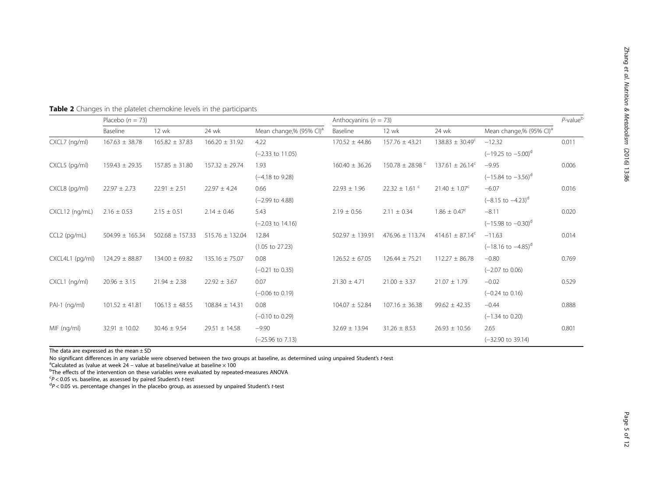|                                     | Placebo $(n = 73)$  |                     |                     | Anthocyanins ( $n = 73$ )           |                     |                               |                                 | $P$ -value $b$                      |       |
|-------------------------------------|---------------------|---------------------|---------------------|-------------------------------------|---------------------|-------------------------------|---------------------------------|-------------------------------------|-------|
|                                     | Baseline            | 12 wk               | 24 wk               | Mean change,% (95% CI) <sup>a</sup> | Baseline            | 12 wk                         | 24 wk                           | Mean change,% (95% CI) <sup>a</sup> |       |
| CXCL7 (ng/ml)                       | $167.63 \pm 38.78$  | $165.82 \pm 37.83$  | $166.20 \pm 31.92$  | 4.22                                | $170.52 \pm 44.86$  | $157.76 \pm 43.21$            | $138.83 \pm 30.49^{\circ}$      | $-12.32$                            | 0.011 |
|                                     |                     |                     |                     | $(-2.33 \text{ to } 11.05)$         |                     |                               |                                 | $(-19.25 \text{ to } -5.00)^d$      |       |
| CXCL5 (pg/ml)                       | $159.43 \pm 29.35$  | $157.85 \pm 31.80$  | $157.32 \pm 29.74$  | 1.93                                | $160.40 \pm 36.26$  | 150.78 $\pm$ 28.98 $\degree$  | $137.61 \pm 26.14^c$            | $-9.95$                             | 0.006 |
|                                     |                     |                     |                     | $(-4.18 \text{ to } 9.28)$          |                     |                               |                                 | $(-15.84 \text{ to } -3.56)^d$      |       |
| CXCL8 (pg/ml)<br>$22.97 \pm 2.73$   |                     | $22.91 \pm 2.51$    | $22.97 \pm 4.24$    | 0.66                                | $22.93 \pm 1.96$    | $22.32 \pm 1.61$ <sup>c</sup> | $21.40 \pm 1.07^c$              | $-6.07$                             | 0.016 |
|                                     |                     |                     |                     | $(-2.99$ to 4.88)                   |                     |                               |                                 | $(-8.15 \text{ to } -4.23)^d$       |       |
| $CXCL12$ (ng/mL)<br>$2.16 \pm 0.53$ |                     | $2.15 \pm 0.51$     | $2.14 \pm 0.46$     | 5.43                                | $2.19 \pm 0.56$     | $2.11 \pm 0.34$               | $1.86 \pm 0.47^c$               | $-8.11$                             | 0.020 |
|                                     |                     |                     |                     | $(-2.03 \text{ to } 14.16)$         |                     |                               |                                 | $(-15.98 \text{ to } -0.30)^d$      |       |
| $CCL2$ (pg/mL)                      | $504.99 \pm 165.34$ | $502.68 \pm 157.33$ | $515.76 \pm 132.04$ | 12.84                               | $502.97 \pm 139.91$ | $476.96 \pm 113.74$           | 414.61 $\pm$ 87.14 <sup>c</sup> | $-11.63$                            | 0.014 |
|                                     |                     |                     |                     | $(1.05 \text{ to } 27.23)$          |                     |                               |                                 | $(-18.16 \text{ to } -4.85)^d$      |       |
| CXCL4L1 (pg/ml)                     | $124.29 \pm 88.87$  | $134.00 \pm 69.82$  | $135.16 \pm 75.07$  | 0.08                                | $126.52 \pm 67.05$  | $126.44 \pm 75.21$            | $112.27 \pm 86.78$              | $-0.80$                             | 0.769 |
|                                     |                     |                     |                     | $(-0.21 \text{ to } 0.35)$          |                     |                               |                                 | $(-2.07 \text{ to } 0.06)$          |       |
| CXCL1 (ng/ml)                       | $20.96 \pm 3.15$    | $21.94 \pm 2.38$    | $22.92 \pm 3.67$    | 0.07                                | $21.30 \pm 4.71$    | $21.00 \pm 3.37$              | $21.07 \pm 1.79$                | $-0.02$                             | 0.529 |
|                                     |                     |                     |                     | $(-0.06 \text{ to } 0.19)$          |                     |                               |                                 | $(-0.24 \text{ to } 0.16)$          |       |
| $PAI-1$ (ng/ml)                     | $101.52 \pm 41.81$  | $106.13 \pm 48.55$  | $108.84 \pm 14.31$  | 0.08                                | $104.07 \pm 52.84$  | $107.16 \pm 36.38$            | $99.62 \pm 42.35$               | $-0.44$                             | 0.888 |
|                                     |                     |                     |                     | $(-0.10 \text{ to } 0.29)$          |                     |                               |                                 | $(-1.34 \text{ to } 0.20)$          |       |
| MIF (ng/ml)                         | 32.91 ± 10.02       | $30.46 \pm 9.54$    | $29.51 \pm 14.58$   | $-9.90$                             | $32.69 \pm 13.94$   | $31.26 \pm 8.53$              | $26.93 \pm 10.56$               | 2.65                                | 0.801 |
|                                     |                     |                     |                     | $(-25.96 \text{ to } 7.13)$         |                     |                               |                                 | $(-32.90 \text{ to } 39.14)$        |       |

<span id="page-4-0"></span>Table 2 Changes in the platelet chemokine levels in the participants

No significant differences in any variable were observed between the two groups at baseline, as determined using unpaired Student's t-test and the student's t-test and the student's t-test and the student of the student's

<sup>a</sup>Calculated as (value at week 24 – value at baseline)/value at baseline  $\times$  100 b<br><sup>b</sup>The effects of the intervention on these variables were evaluated by reposit

<sup>b</sup>The effects of the intervention on these variables were evaluated by repeated-measures ANOVA

 $\epsilon_P$  < 0.05 vs. baseline, as assessed by paired Student's t-test

<sup>c</sup>P < 0.05 vs. baseline, as assessed by paired Student's t-test<br><sup>d</sup>P < 0.05 vs. percentage changes in the placebo group, as assessed by unpaired Student's t-test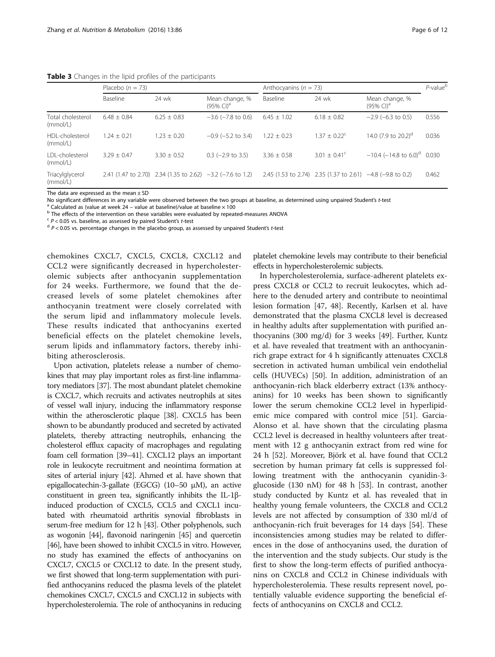| $\overline{\phantom{a}}$ |  |
|--------------------------|--|
|                          |  |
|                          |  |
|                          |  |

<span id="page-5-0"></span>

|                                    | Placebo $(n = 73)$ |                                                                                             |                                         | Anthocyanins ( $n = 73$ ) |                                                                 |                                           |       |
|------------------------------------|--------------------|---------------------------------------------------------------------------------------------|-----------------------------------------|---------------------------|-----------------------------------------------------------------|-------------------------------------------|-------|
|                                    | Baseline           | 24 wk                                                                                       | Mean change, %<br>$(95\% \text{ Cl})^3$ | Baseline                  | 24 wk                                                           | Mean change, %<br>$(95\% \text{ Cl})^d$   |       |
| Total cholesterol<br>(mmol/L)      | $6.48 + 0.84$      | $6.25 + 0.83$                                                                               | $-3.6$ ( $-7.8$ to 0.6)                 | $6.45 + 1.02$             | $6.18 \pm 0.82$                                                 | $-2.9$ (-6.3 to 0.5)                      | 0.556 |
| HDI-cholesterol<br>(mmol/L)        | $1.24 + 0.21$      | $1.23 + 0.20$                                                                               | $-0.9$ ( $-5.2$ to 3.4)                 | $1.22 + 0.23$             | $1.37 + 0.22^c$                                                 | 14.0 (7.9 to 20.2) <sup>d</sup>           | 0.036 |
| <b>IDI-cholesterol</b><br>(mmol/L) | $3.29 + 0.47$      | $3.30 + 0.52$                                                                               | $0.3$ (-2.9 to 3.5)                     | $3.36 + 0.58$             | $3.01 + 0.41^{\circ}$                                           | $-10.4$ (-14.8 to 6.0) <sup>d</sup> 0.030 |       |
| Triacylglycerol<br>(mmol/L)        |                    | 2.41 $(1.47 \text{ to } 2.70)$ 2.34 $(1.35 \text{ to } 2.62)$ -3.2 $(-7.6 \text{ to } 1.2)$ |                                         |                           | 2.45 (1.53 to 2.74) 2.35 (1.37 to 2.61) $-4.8$ ( $-9.8$ to 0.2) |                                           | 0.462 |

No significant differences in any variable were observed between the two groups at baseline, as determined using unpaired Student's t-test  $^a$  Calculated as (value at week 24 – value at baseline)/value at baseline  $\times$  1

 $d$  P < 0.05 vs. percentage changes in the placebo group, as assessed by unpaired Student's t-test

chemokines CXCL7, CXCL5, CXCL8, CXCL12 and CCL2 were significantly decreased in hypercholesterolemic subjects after anthocyanin supplementation for 24 weeks. Furthermore, we found that the decreased levels of some platelet chemokines after anthocyanin treatment were closely correlated with the serum lipid and inflammatory molecule levels. These results indicated that anthocyanins exerted beneficial effects on the platelet chemokine levels, serum lipids and inflammatory factors, thereby inhibiting atherosclerosis.

Upon activation, platelets release a number of chemokines that may play important roles as first-line inflammatory mediators [\[37\]](#page-10-0). The most abundant platelet chemokine is CXCL7, which recruits and activates neutrophils at sites of vessel wall injury, inducing the inflammatory response within the atherosclerotic plaque [\[38](#page-10-0)]. CXCL5 has been shown to be abundantly produced and secreted by activated platelets, thereby attracting neutrophils, enhancing the cholesterol efflux capacity of macrophages and regulating foam cell formation [\[39](#page-10-0)–[41\]](#page-10-0). CXCL12 plays an important role in leukocyte recruitment and neointima formation at sites of arterial injury [\[42\]](#page-10-0). Ahmed et al. have shown that epigallocatechin-3-gallate (EGCG) (10–50 μM), an active constituent in green tea, significantly inhibits the IL-1βinduced production of CXCL5, CCL5 and CXCL1 incubated with rheumatoid arthritis synovial fibroblasts in serum-free medium for 12 h [\[43](#page-10-0)]. Other polyphenols, such as wogonin [\[44](#page-10-0)], flavonoid naringenin [\[45\]](#page-10-0) and quercetin [[46](#page-10-0)], have been showed to inhibit CXCL5 in vitro. However, no study has examined the effects of anthocyanins on CXCL7, CXCL5 or CXCL12 to date. In the present study, we first showed that long-term supplementation with purified anthocyanins reduced the plasma levels of the platelet chemokines CXCL7, CXCL5 and CXCL12 in subjects with hypercholesterolemia. The role of anthocyanins in reducing

platelet chemokine levels may contribute to their beneficial effects in hypercholesterolemic subjects.

In hypercholesterolemia, surface-adherent platelets express CXCL8 or CCL2 to recruit leukocytes, which adhere to the denuded artery and contribute to neointimal lesion formation [\[47](#page-10-0), [48\]](#page-10-0). Recently, Karlsen et al. have demonstrated that the plasma CXCL8 level is decreased in healthy adults after supplementation with purified anthocyanins (300 mg/d) for 3 weeks [[49\]](#page-10-0). Further, Kuntz et al. have revealed that treatment with an anthocyaninrich grape extract for 4 h significantly attenuates CXCL8 secretion in activated human umbilical vein endothelial cells (HUVECs) [[50](#page-10-0)]. In addition, administration of an anthocyanin-rich black elderberry extract (13% anthocyanins) for 10 weeks has been shown to significantly lower the serum chemokine CCL2 level in hyperlipidemic mice compared with control mice [[51](#page-10-0)]. Garcia-Alonso et al. have shown that the circulating plasma CCL2 level is decreased in healthy volunteers after treatment with 12 g anthocyanin extract from red wine for 24 h [[52](#page-10-0)]. Moreover, Björk et al. have found that CCL2 secretion by human primary fat cells is suppressed following treatment with the anthocyanin cyanidin-3 glucoside (130 nM) for 48 h [[53](#page-10-0)]. In contrast, another study conducted by Kuntz et al. has revealed that in healthy young female volunteers, the CXCL8 and CCL2 levels are not affected by consumption of 330 ml/d of anthocyanin-rich fruit beverages for 14 days [\[54](#page-10-0)]. These inconsistencies among studies may be related to differences in the dose of anthocyanins used, the duration of the intervention and the study subjects. Our study is the first to show the long-term effects of purified anthocyanins on CXCL8 and CCL2 in Chinese individuals with hypercholesterolemia. These results represent novel, potentially valuable evidence supporting the beneficial effects of anthocyanins on CXCL8 and CCL2.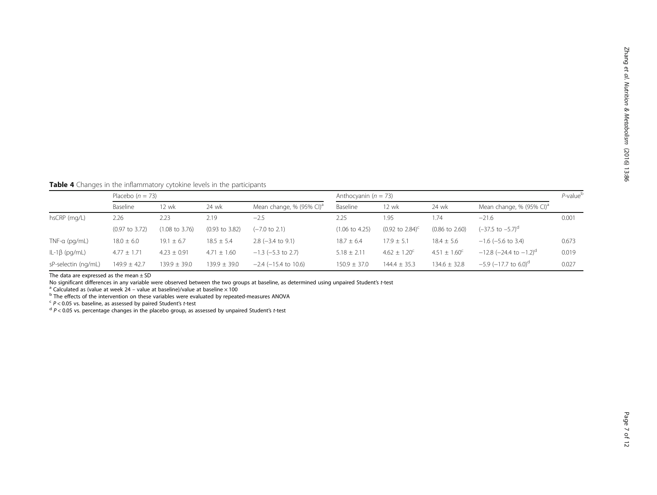<span id="page-6-0"></span>Table 4 Changes in the inflammatory cytokine levels in the participants

|                       | Placebo $(n = 73)$        |                           |                           | Anthocyanin ( $n = 73$ )             |                           |                             |                           | $P$ -value $^{\rm b}$                   |       |
|-----------------------|---------------------------|---------------------------|---------------------------|--------------------------------------|---------------------------|-----------------------------|---------------------------|-----------------------------------------|-------|
|                       | Baseline                  | 12 wk                     | 24 wk                     | Mean change, % (95% CI) <sup>a</sup> | Baseline                  | 12 wk                       | 24 wk                     | Mean change, % (95% CI) <sup>a</sup>    |       |
| hsCRP (mg/L)          | 2.26                      | 2.23                      | 2.19                      | $-2.5$                               | 2.25                      | 1.95                        | 1.74                      | $-21.6$                                 | 0.001 |
|                       | $(0.97 \text{ to } 3.72)$ | $(1.08 \text{ to } 3.76)$ | $(0.93 \text{ to } 3.82)$ | $(-7.0 \text{ to } 2.1)$             | $(1.06 \text{ to } 4.25)$ | $(0.92 \text{ to } 2.84)^c$ | $(0.86 \text{ to } 2.60)$ | $(-37.5 \text{ to } -5.7)^d$            |       |
| TNF- $\alpha$ (pg/mL) | $18.0 \pm 6.0$            | $19.1 \pm 6.7$            | $18.5 \pm 5.4$            | $2.8$ (-3.4 to 9.1)                  | $18.7 \pm 6.4$            | $17.9 \pm 5.1$              | $18.4 \pm 5.6$            | $-1.6$ (-5.6 to 3.4)                    | 0.673 |
| $IL-1\beta$ (pg/mL)   | $4.77 \pm 1.71$           | $4.23 \pm 0.91$           | $4.71 \pm 1.60$           | $-1.3$ (-5.3 to 2.7)                 | $5.18 \pm 2.11$           | $4.62 \pm 1.20^{\circ}$     | $4.51 \pm 1.60^{\circ}$   | $-12.8$ (-24.4 to $-1.2$ ) <sup>d</sup> | 0.019 |
| sP-selectin (ng/mL)   | $149.9 \pm 42.7$          | $139.9 \pm 39.0$          | $139.9 \pm 39.0$          | $-2.4$ ( $-15.4$ to 10.6)            | $150.9 \pm 37.0$          | $144.4 \pm 35.3$            | $134.6 \pm 32.8$          | $-5.9$ (-17.7 to 6.0) <sup>d</sup>      | 0.027 |

No significant differences in any variable were observed between the two groups at baseline, as determined using unpaired Student's t-test  $^a$  Calculated as (value at week 24 – value at baseline)/value at baseline × 100<br>

 $dP < 0.05$  vs. percentage changes in the placebo group, as assessed by unpaired Student's t-test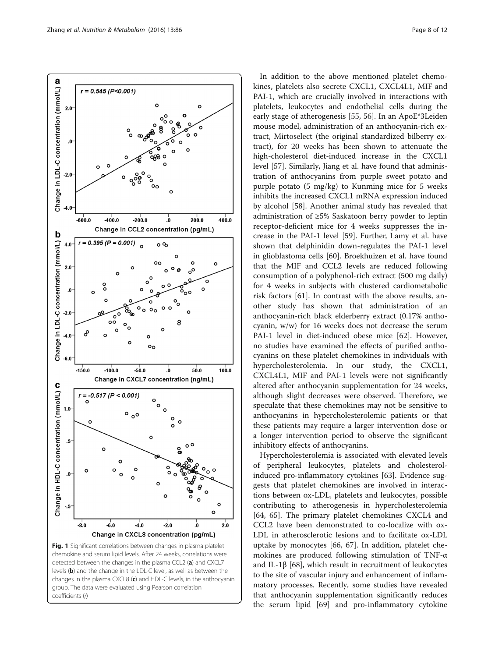<span id="page-7-0"></span>

In addition to the above mentioned platelet chemokines, platelets also secrete CXCL1, CXCL4L1, MIF and PAI-1, which are crucially involved in interactions with platelets, leukocytes and endothelial cells during the early stage of atherogenesis [[55](#page-10-0), [56](#page-10-0)]. In an ApoE\*3Leiden mouse model, administration of an anthocyanin-rich extract, Mirtoselect (the original standardized bilberry extract), for 20 weeks has been shown to attenuate the high-cholesterol diet-induced increase in the CXCL1 level [\[57](#page-10-0)]. Similarly, Jiang et al. have found that administration of anthocyanins from purple sweet potato and purple potato (5 mg/kg) to Kunming mice for 5 weeks inhibits the increased CXCL1 mRNA expression induced by alcohol [\[58](#page-10-0)]. Another animal study has revealed that administration of ≥5% Saskatoon berry powder to leptin receptor-deficient mice for 4 weeks suppresses the increase in the PAI-1 level [[59\]](#page-10-0). Further, Lamy et al. have shown that delphinidin down-regulates the PAI-1 level in glioblastoma cells [[60\]](#page-10-0). Broekhuizen et al. have found that the MIF and CCL2 levels are reduced following consumption of a polyphenol-rich extract (500 mg daily) for 4 weeks in subjects with clustered cardiometabolic risk factors [[61\]](#page-10-0). In contrast with the above results, another study has shown that administration of an anthocyanin-rich black elderberry extract (0.17% anthocyanin, w/w) for 16 weeks does not decrease the serum PAI-1 level in diet-induced obese mice [[62](#page-10-0)]. However, no studies have examined the effects of purified anthocyanins on these platelet chemokines in individuals with hypercholesterolemia. In our study, the CXCL1, CXCL4L1, MIF and PAI-1 levels were not significantly altered after anthocyanin supplementation for 24 weeks, although slight decreases were observed. Therefore, we speculate that these chemokines may not be sensitive to anthocyanins in hypercholesterolemic patients or that these patients may require a larger intervention dose or a longer intervention period to observe the significant inhibitory effects of anthocyanins.

Hypercholesterolemia is associated with elevated levels of peripheral leukocytes, platelets and cholesterolinduced pro-inflammatory cytokines [\[63](#page-10-0)]. Evidence suggests that platelet chemokines are involved in interactions between ox-LDL, platelets and leukocytes, possible contributing to atherogenesis in hypercholesterolemia [[64,](#page-10-0) [65](#page-11-0)]. The primary platelet chemokines CXCL4 and CCL2 have been demonstrated to co-localize with ox-LDL in atherosclerotic lesions and to facilitate ox-LDL uptake by monocytes [\[66](#page-11-0), [67\]](#page-11-0). In addition, platelet chemokines are produced following stimulation of TNF-α and IL-1β [\[68](#page-11-0)], which result in recruitment of leukocytes to the site of vascular injury and enhancement of inflammatory processes. Recently, some studies have revealed that anthocyanin supplementation significantly reduces the serum lipid [[69\]](#page-11-0) and pro-inflammatory cytokine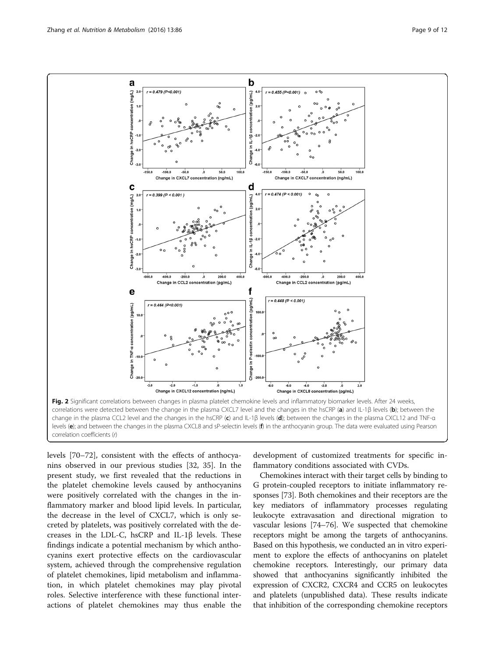<span id="page-8-0"></span>

levels [[70](#page-11-0)–[72](#page-11-0)], consistent with the effects of anthocyanins observed in our previous studies [\[32](#page-10-0), [35\]](#page-10-0). In the present study, we first revealed that the reductions in the platelet chemokine levels caused by anthocyanins were positively correlated with the changes in the inflammatory marker and blood lipid levels. In particular, the decrease in the level of CXCL7, which is only secreted by platelets, was positively correlated with the decreases in the LDL-C, hsCRP and IL-1β levels. These findings indicate a potential mechanism by which anthocyanins exert protective effects on the cardiovascular system, achieved through the comprehensive regulation of platelet chemokines, lipid metabolism and inflammation, in which platelet chemokines may play pivotal roles. Selective interference with these functional interactions of platelet chemokines may thus enable the

development of customized treatments for specific inflammatory conditions associated with CVDs.

Chemokines interact with their target cells by binding to G protein-coupled receptors to initiate inflammatory responses [[73](#page-11-0)]. Both chemokines and their receptors are the key mediators of inflammatory processes regulating leukocyte extravasation and directional migration to vascular lesions [[74](#page-11-0)–[76\]](#page-11-0). We suspected that chemokine receptors might be among the targets of anthocyanins. Based on this hypothesis, we conducted an in vitro experiment to explore the effects of anthocyanins on platelet chemokine receptors. Interestingly, our primary data showed that anthocyanins significantly inhibited the expression of CXCR2, CXCR4 and CCR5 on leukocytes and platelets (unpublished data). These results indicate that inhibition of the corresponding chemokine receptors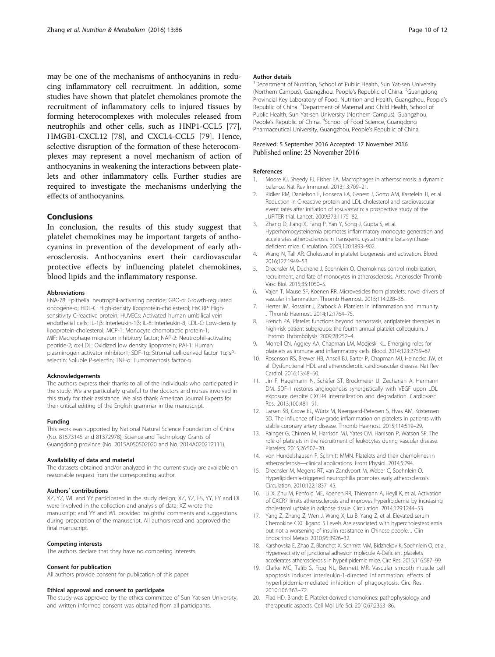<span id="page-9-0"></span>may be one of the mechanisms of anthocyanins in reducing inflammatory cell recruitment. In addition, some studies have shown that platelet chemokines promote the recruitment of inflammatory cells to injured tissues by forming heterocomplexes with molecules released from neutrophils and other cells, such as HNP1-CCL5 [[77](#page-11-0)], HMGB1-CXCL12 [\[78](#page-11-0)], and CXCL4-CCL5 [[79](#page-11-0)]. Hence, selective disruption of the formation of these heterocomplexes may represent a novel mechanism of action of anthocyanins in weakening the interactions between platelets and other inflammatory cells. Further studies are required to investigate the mechanisms underlying the effects of anthocyanins.

# Conclusions

In conclusion, the results of this study suggest that platelet chemokines may be important targets of anthocyanins in prevention of the development of early atherosclerosis. Anthocyanins exert their cardiovascular protective effects by influencing platelet chemokines, blood lipids and the inflammatory response.

#### Abbreviations

ENA-78: Epithelial neutrophil-activating peptide; GRO-α: Growth-regulated oncogene-α; HDL-C: High-density lipoprotein-cholesterol; HsCRP: Highsensitivity C-reactive protein; HUVECs: Activated human umbilical vein endothelial cells; IL-1β: Interleukin-1β; IL-8: Interleukin-8; LDL-C: Low-density lipoprotein-cholesterol; MCP-1: Monocyte chemotactic protein-1; MIF: Macrophage migration inhibitory factor; NAP-2: Neutrophil-activating peptide-2; ox-LDL: Oxidized low density lipoprotein; PAI-1: Human plasminogen activator inhibitor1; SDF-1α: Stromal cell-derived factor 1α; sPselectin: Soluble P-selectin; TNF-α: Tumornecrosis factor-α

## Acknowledgements

The authors express their thanks to all of the individuals who participated in the study. We are particularly grateful to the doctors and nurses involved in this study for their assistance. We also thank American Journal Experts for their critical editing of the English grammar in the manuscript.

## Funding

This work was supported by National Natural Science Foundation of China (No. 81573145 and 81372978), Science and Technology Grants of Guangdong province (No. 2015A050502020 and No. 2014A020212111).

#### Availability of data and material

The datasets obtained and/or analyzed in the current study are available on reasonable request from the corresponding author.

#### Authors' contributions

XZ, YZ, WL and YY participated in the study design; XZ, YZ, FS, YY, FY and DL were involved in the collection and analysis of data; XZ wrote the manuscript; and YY and WL provided insightful comments and suggestions during preparation of the manuscript. All authors read and approved the final manuscript.

#### Competing interests

The authors declare that they have no competing interests.

## Consent for publication

All authors provide consent for publication of this paper.

## Ethical approval and consent to participate

The study was approved by the ethics committee of Sun Yat-sen University, and written informed consent was obtained from all participants.

## Author details

<sup>1</sup>Department of Nutrition, School of Public Health, Sun Yat-sen University (Northern Campus), Guangzhou, People's Republic of China. <sup>2</sup>Guangdong Provincial Key Laboratory of Food, Nutrition and Health, Guangzhou, People's Republic of China. <sup>3</sup> Department of Maternal and Child Health, School of Public Health, Sun Yat-sen University (Northern Campus), Guangzhou, People's Republic of China. <sup>4</sup>School of Food Science, Guangdong Pharmaceutical University, Guangzhou, People's Republic of China.

## Received: 5 September 2016 Accepted: 17 November 2016 Published online: 25 November 2016

#### References

- 1. Moore KJ, Sheedy FJ, Fisher EA. Macrophages in atherosclerosis: a dynamic balance. Nat Rev Immunol. 2013;13:709–21.
- 2. Ridker PM, Danielson E, Fonseca FA, Genest J, Gotto AM, Kastelein JJ, et al. Reduction in C-reactive protein and LDL cholesterol and cardiovascular event rates after initiation of rosuvastatin: a prospective study of the JUPITER trial. Lancet. 2009;373:1175–82.
- 3. Zhang D, Jiang X, Fang P, Yan Y, Song J, Gupta S, et al. Hyperhomocysteinemia promotes inflammatory monocyte generation and accelerates atherosclerosis in transgenic cystathionine beta-synthasedeficient mice. Circulation. 2009;120:1893–902.
- 4. Wang N, Tall AR. Cholesterol in platelet biogenesis and activation. Blood. 2016;127:1949–53.
- 5. Drechsler M, Duchene J, Soehnlein O. Chemokines control mobilization, recruitment, and fate of monocytes in atherosclerosis. Arterioscler Thromb Vasc Biol. 2015;35:1050–5.
- 6. Vajen T, Mause SF, Koenen RR. Microvesicles from platelets: novel drivers of vascular inflammation. Thromb Haemost. 2015;114:228–36.
- 7. Herter JM, Rossaint J, Zarbock A. Platelets in inflammation and immunity. J Thromb Haemost. 2014;12:1764–75.
- 8. French PA. Platelet functions beyond hemostasis, antiplatelet therapies in high-risk patient subgroups: the fourth annual platelet colloquium. J Thromb Thrombolysis. 2009;28:252–4.
- 9. Morrell CN, Aggrey AA, Chapman LM, Modjeski KL. Emerging roles for platelets as immune and inflammatory cells. Blood. 2014;123:2759–67.
- 10. Rosenson RS, Brewer HB, Ansell BJ, Barter P, Chapman MJ, Heinecke JW, et al. Dysfunctional HDL and atherosclerotic cardiovascular disease. Nat Rev Cardiol. 2016;13:48–60.
- 11. Jin F, Hagemann N, Schäfer ST, Brockmeier U, Zechariah A, Hermann DM. SDF-1 restores angiogenesis synergistically with VEGF upon LDL exposure despite CXCR4 internalization and degradation. Cardiovasc Res. 2013;100:481–91.
- 12. Larsen SB, Grove EL, Würtz M, Neergaard-Petersen S, Hvas AM, Kristensen SD. The influence of low-grade inflammation on platelets in patients with stable coronary artery disease. Thromb Haemost. 2015;114:519–29.
- 13. Rainger G, Chimen M, Harrison MJ, Yates CM, Harrison P, Watson SP. The role of platelets in the recruitment of leukocytes during vascular disease. Platelets. 2015;26:507–20.
- 14. von Hundelshausen P, Schmitt MMN. Platelets and their chemokines in atherosclerosis—clinical applications. Front Physiol. 2014;5:294.
- 15. Drechsler M, Megens RT, van Zandvoort M, Weber C, Soehnlein O. Hyperlipidemia-triggered neutrophilia promotes early atherosclerosis. Circulation. 2010;122:1837–45.
- 16. Li X, Zhu M, Penfold ME, Koenen RR, Thiemann A, Heyll K, et al. Activation of CXCR7 limits atherosclerosis and improves hyperlipidemia by increasing cholesterol uptake in adipose tissue. Circulation. 2014;129:1244–53.
- 17. Yang Z, Zhang Z, Wen J, Wang X, Lu B, Yang Z, et al. Elevated serum Chemokine CXC ligand 5 Levels Are associated with hypercholesterolemia but not a worsening of insulin resistance in Chinese people. J Clin Endocrinol Metab. 2010;95:3926–32.
- 18. Karshovska E, Zhao Z, Blanchet X, Schmitt MM, Bidzhekov K, Soehnlein O, et al. Hyperreactivity of junctional adhesion molecule A-Deficient platelets accelerates atherosclerosis in hyperlipidemic mice. Circ Res. 2015;116:587–99.
- 19. Clarke MC, Talib S, Figg NL, Bennett MR. Vascular smooth muscle cell apoptosis induces interleukin-1-directed inflammation: effects of hyperlipidemia-mediated inhibition of phagocytosis. Circ Res. 2010;106:363–72.
- 20. Flad HD, Brandt E. Platelet-derived chemokines: pathophysiology and therapeutic aspects. Cell Mol Life Sci. 2010;67:2363–86.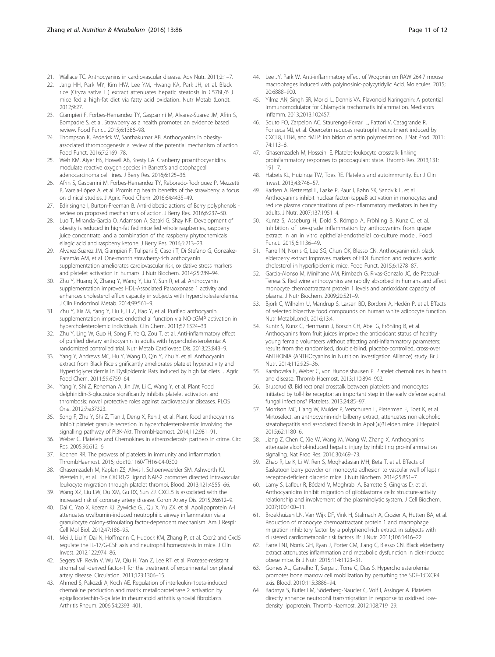- <span id="page-10-0"></span>21. Wallace TC. Anthocyanins in cardiovascular disease. Adv Nutr. 2011;2:1–7.
- 22. Jang HH, Park MY, Kim HW, Lee YM, Hwang KA, Park JH, et al. Black rice (Oryza sativa L.) extract attenuates hepatic steatosis in C57BL/6 J mice fed a high-fat diet via fatty acid oxidation. Nutr Metab (Lond). 2012;9:27.
- 23. Giampieri F, Forbes-Hernandez TY, Gasparrini M, Alvarez-Suarez JM, Afrin S, Bompadre S, et al. Strawberry as a health promoter: an evidence based review. Food Funct. 2015;6:1386–98.
- 24. Thompson K, Pederick W, Santhakumar AB. Anthocyanins in obesityassociated thrombogenesis: a review of the potential mechanism of action. Food Funct. 2016;7:2169–78.
- 25. Weh KM, Aiyer HS, Howell AB, Kresty LA. Cranberry proanthocyanidins modulate reactive oxygen species in Barrett's and esophageal adenocarcinoma cell lines. J Berry Res. 2016;6:125–36.
- 26. Afrin S, Gasparrini M, Forbes-Hernandez TY, Reboredo-Rodriguez P, Mezzetti B, Varela-López A, et al. Promising health benefits of the strawberry: a focus on clinical studies. J Agric Food Chem. 2016;64:4435–49.
- 27. Edirisinghe I, Burton-Freeman B. Anti-diabetic actions of Berry polyphenols review on proposed mechanisms of action. J Berry Res. 2016;6:237–50.
- 28. Luo T, Miranda-Garcia O, Adamson A, Sasaki G, Shay NF. Development of obesity is reduced in high-fat fed mice fed whole raspberries, raspberry juice concentrate, and a combination of the raspberry phytochemicals ellagic acid and raspberry ketone. J Berry Res. 2016;6:213–23.
- 29. Alvarez-Suarez JM, Giampieri F, Tulipani S, Casoli T, Di Stefano G, González-Paramás AM, et al. One-month strawberry-rich anthocyanin supplementation ameliorates cardiovascular risk, oxidative stress markers and platelet activation in humans. J Nutr Biochem. 2014;25:289–94.
- 30. Zhu Y, Huang X, Zhang Y, Wang Y, Liu Y, Sun R, et al. Anthocyanin supplementation improves HDL-Associated Paraoxonase 1 activity and enhances cholesterol efflux capacity in subjects with hypercholesterolemia. J Clin Endocrinol Metab. 2014;99:561–9.
- 31. Zhu Y, Xia M, Yang Y, Liu F, Li Z, Hao Y, et al. Purified anthocyanin supplementation improves endothelial function via NO-cGMP activation in hypercholesterolemic individuals. Clin Chem. 2011;57:1524–33.
- 32. Zhu Y, Ling W, Guo H, Song F, Ye Q, Zou T, et al. Anti-inflammatory effect of purified dietary anthocyanin in adults with hypercholesterolemia: A randomized controlled trial. Nutr Metab Cardiovasc Dis. 2013;23:843–9.
- 33. Yang Y, Andrews MC, Hu Y, Wang D, Qin Y, Zhu Y, et al. Anthocyanin extract from Black Rice significantly ameliorates platelet hyperactivity and Hypertriglyceridemia in Dyslipidemic Rats induced by high fat diets. J Agric Food Chem. 2011;59:6759–64.
- 34. Yang Y, Shi Z, Reheman A, Jin JW, Li C, Wang Y, et al. Plant Food delphinidin-3-glucoside significantly inhibits platelet activation and thrombosis: novel protective roles against cardiovascular diseases. PLOS One. 2012;7:e37323.
- 35. Song F, Zhu Y, Shi Z, Tian J, Deng X, Ren J, et al. Plant food anthocyanins inhibit platelet granule secretion in hypercholesterolaemia: involving the signalling pathway of PI3K-Akt. ThrombHaemost. 2014;112:981–91.
- 36. Weber C. Platelets and Chemokines in atherosclerosis: partners in crime. Circ Res. 2005;96:612–6.
- 37. Koenen RR. The prowess of platelets in immunity and inflammation. ThrombHaemost. 2016; doi[:10.1160/TH16-04-0300](http://dx.doi.org/10.1160/TH16-04-0300)
- 38. Ghasemzadeh M, Kaplan ZS, Alwis I, Schoenwaelder SM, Ashworth KJ, Westein E, et al. The CXCR1/2 ligand NAP-2 promotes directed intravascular leukocyte migration through platelet thrombi. Blood. 2013;121:4555–66.
- 39. Wang XZ, Liu LW, Du XM, Gu RX, Sun ZJ. CXCL5 is associated with the increased risk of coronary artery disease. Coron Artery Dis. 2015;26:612–9.
- 40. Dai C, Yao X, Keeran KJ, Zywicke GJ, Qu X, Yu ZX, et al. Apolipoprotein A-I attenuates ovalbumin-induced neutrophilic airway inflammation via a granulocyte colony-stimulating factor-dependent mechanism. Am J Respir Cell Mol Biol. 2012;47:186–95.
- 41. Mei J, Liu Y, Dai N, Hoffmann C, Hudock KM, Zhang P, et al. Cxcr2 and Cxcl5 regulate the IL-17/G-CSF axis and neutrophil homeostasis in mice. J Clin Invest. 2012;122:974–86.
- 42. Segers VF, Revin V, Wu W, Qiu H, Yan Z, Lee RT, et al. Protease-resistant stromal cell-derived factor-1 for the treatment of experimental peripheral artery disease. Circulation. 2011;123:1306–15.
- 43. Ahmed S, Pakozdi A, Koch AE. Regulation of interleukin-1beta-induced chemokine production and matrix metalloproteinase 2 activation by epigallocatechin-3-gallate in rheumatoid arthritis synovial fibroblasts. Arthritis Rheum. 2006;54:2393–401.
- 44. Lee JY, Park W. Anti-inflammatory effect of Wogonin on RAW 264.7 mouse macrophages induced with polyinosinic-polycytidylic Acid. Molecules. 2015; 20:6888–900.
- 45. Yilma AN, Singh SR, Morici L, Dennis VA. Flavonoid Naringenin: A potential immunomodulator for Chlamydia trachomatis inflammation. Mediators Inflamm. 2013;2013:102457.
- Souto FO, Zarpelon AC, Staurengo-Ferrari L, Fattori V, Casagrande R, Fonseca MJ, et al. Quercetin reduces neutrophil recruitment induced by CXCL8, LTB4, and fMLP: inhibition of actin polymerization. J Nat Prod. 2011; 74:113–8.
- 47. Ghasemzadeh M, Hosseini E. Platelet-leukocyte crosstalk: linking proinflammatory responses to procoagulant state. Thromb Res. 2013;131: 191–7.
- 48. Habets KL, Huizinga TW, Toes RE. Platelets and autoimmunity. Eur J Clin Invest. 2013;43:746–57.
- 49. Karlsen A, Retterstøl L, Laake P, Paur I, Bøhn SK, Sandvik L, et al. Anthocyanins inhibit nuclear factor-kappaB activation in monocytes and reduce plasma concentrations of pro-inflammatory mediators in healthy adults. J Nutr. 2007;137:1951–4.
- 50. Kuntz S, Asseburg H, Dold S, Römpp A, Fröhling B, Kunz C, et al. Inhibition of low-grade inflammation by anthocyanins from grape extract in an in vitro epithelial-endothelial co-culture model. Food Funct. 2015;6:1136–49.
- 51. Farrell N, Norris G, Lee SG, Chun OK, Blesso CN. Anthocyanin-rich black elderberry extract improves markers of HDL function and reduces aortic cholesterol in hyperlipidemic mice. Food Funct. 2015;6:1278–87.
- 52. Garcia-Alonso M, Minihane AM, Rimbach G, Rivas-Gonzalo JC, de Pascual-Teresa S. Red wine anthocyanins are rapidly absorbed in humans and affect monocyte chemoattractant protein 1 levels and antioxidant capacity of plasma. J Nutr Biochem. 2009;20:521–9.
- 53. Björk C, Wilhelm U, Mandrup S, Larsen BD, Bordoni A, Hedén P, et al. Effects of selected bioactive food compounds on human white adipocyte function. Nutr Metab(Lond). 2016;13:4.
- 54. Kuntz S, Kunz C, Herrmann J, Borsch CH, Abel G, Fröhling B, et al. Anthocyanins from fruit juices improve the antioxidant status of healthy young female volunteers without affecting anti-inflammatory parameters: results from the randomised, double-blind, placebo-controlled, cross-over ANTHONIA (ANTHOcyanins in Nutrition Investigation Alliance) study. Br J Nutr. 2014;112:925–36.
- 55. Karshovska E, Weber C, von Hundelshausen P. Platelet chemokines in health and disease. Thromb Haemost. 2013;110:894–902.
- 56. Bruserud Ø. Bidirectional crosstalk between platelets and monocytes initiated by toll-like receptor: an important step in the early defense against fungal infections? Platelets. 2013;24:85–97.
- 57. Morrison MC, Liang W, Mulder P, Verschuren L, Pieterman E, Toet K, et al. Mirtoselect, an anthocyanin-rich bilberry extract, attenuates non-alcoholic steatohepatitis and associated fibrosis in ApoE(∗)3Leiden mice. J Hepatol. 2015;62:1180–6.
- 58. Jiang Z, Chen C, Xie W, Wang M, Wang W, Zhang X. Anthocyanins attenuate alcohol-induced hepatic injury by inhibiting pro-inflammation signaling. Nat Prod Res. 2016;30:469–73.
- 59. Zhao R, Le K, Li W, Ren S, Moghadasian MH, Beta T, et al. Effects of Saskatoon berry powder on monocyte adhesion to vascular wall of leptin receptor-deficient diabetic mice. J Nutr Biochem. 2014;25:851–7.
- 60. Lamy S, Lafleur R, Bédard V, Moghrabi A, Barrette S, Gingras D, et al. Anthocyanidins inhibit migration of glioblastoma cells: structure-activity relationship and involvement of the plasminolytic system. J Cell Biochem. 2007;100:100–11.
- 61. Broekhuizen LN, Van Wijk DF, Vink H, Stalmach A, Crozier A, Hutten BA, et al. Reduction of monocyte chemoattractant protein 1 and macrophage migration inhibitory factor by a polyphenol-rich extract in subjects with clustered cardiometabolic risk factors. Br J Nutr. 2011;106:1416–22.
- 62. Farrell NJ, Norris GH, Ryan J, Porter CM, Jiang C, Blesso CN. Black elderberry extract attenuates inflammation and metabolic dysfunction in diet-induced obese mice. Br J Nutr. 2015;114:1123–31.
- 63. Gomes AL, Carvalho T, Serpa J, Torre C, Dias S. Hypercholesterolemia promotes bone marrow cell mobilization by perturbing the SDF-1:CXCR4 axis. Blood. 2010;115:3886–94.
- 64. Badrnya S, Butler LM, Söderberg-Naucler C, Volf I, Assinger A. Platelets directly enhance neutrophil transmigration in response to oxidised lowdensity lipoprotein. Thromb Haemost. 2012;108:719–29.